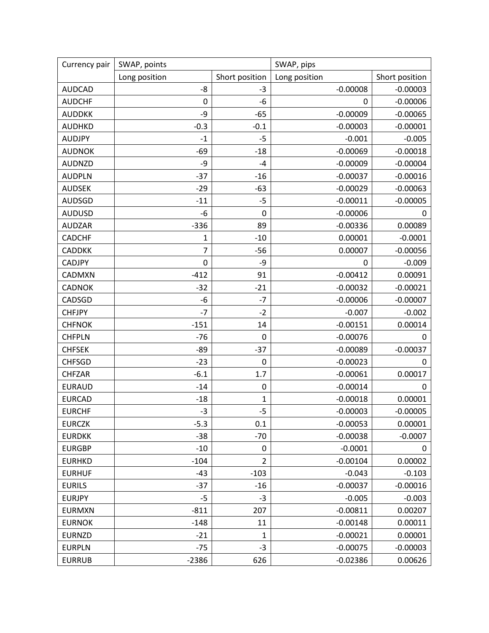| Currency pair | SWAP, points     |                | SWAP, pips    |                |
|---------------|------------------|----------------|---------------|----------------|
|               | Long position    | Short position | Long position | Short position |
| <b>AUDCAD</b> | -8               | $-3$           | $-0.00008$    | $-0.00003$     |
| <b>AUDCHF</b> | 0                | $-6$           | 0             | $-0.00006$     |
| <b>AUDDKK</b> | -9               | $-65$          | $-0.00009$    | $-0.00065$     |
| <b>AUDHKD</b> | $-0.3$           | $-0.1$         | $-0.00003$    | $-0.00001$     |
| <b>AUDJPY</b> | $-1$             | $-5$           | $-0.001$      | $-0.005$       |
| <b>AUDNOK</b> | $-69$            | $-18$          | $-0.00069$    | $-0.00018$     |
| <b>AUDNZD</b> | -9               | $-4$           | $-0.00009$    | $-0.00004$     |
| <b>AUDPLN</b> | $-37$            | $-16$          | $-0.00037$    | $-0.00016$     |
| <b>AUDSEK</b> | $-29$            | $-63$          | $-0.00029$    | $-0.00063$     |
| <b>AUDSGD</b> | $-11$            | $-5$           | $-0.00011$    | $-0.00005$     |
| <b>AUDUSD</b> | -6               | $\mathbf 0$    | $-0.00006$    | 0              |
| <b>AUDZAR</b> | $-336$           | 89             | $-0.00336$    | 0.00089        |
| <b>CADCHF</b> | 1                | $-10$          | 0.00001       | $-0.0001$      |
| <b>CADDKK</b> | $\overline{7}$   | $-56$          | 0.00007       | $-0.00056$     |
| <b>CADJPY</b> | $\boldsymbol{0}$ | -9             | 0             | $-0.009$       |
| CADMXN        | $-412$           | 91             | $-0.00412$    | 0.00091        |
| <b>CADNOK</b> | $-32$            | $-21$          | $-0.00032$    | $-0.00021$     |
| CADSGD        | -6               | $-7$           | $-0.00006$    | $-0.00007$     |
| <b>CHFJPY</b> | $-7$             | $-2$           | $-0.007$      | $-0.002$       |
| <b>CHFNOK</b> | $-151$           | 14             | $-0.00151$    | 0.00014        |
| <b>CHFPLN</b> | $-76$            | 0              | $-0.00076$    | 0              |
| <b>CHFSEK</b> | $-89$            | $-37$          | $-0.00089$    | $-0.00037$     |
| <b>CHFSGD</b> | $-23$            | 0              | $-0.00023$    | 0              |
| <b>CHFZAR</b> | $-6.1$           | 1.7            | $-0.00061$    | 0.00017        |
| <b>EURAUD</b> | $-14$            | 0              | $-0.00014$    | 0              |
| <b>EURCAD</b> | $-18$            | $\mathbf{1}$   | $-0.00018$    | 0.00001        |
| <b>EURCHF</b> | $-3$             | $-5$           | $-0.00003$    | $-0.00005$     |
| <b>EURCZK</b> | $-5.3$           | 0.1            | $-0.00053$    | 0.00001        |
| <b>EURDKK</b> | $-38$            | $-70$          | $-0.00038$    | $-0.0007$      |
| <b>EURGBP</b> | $-10$            | 0              | $-0.0001$     | 0              |
| <b>EURHKD</b> | $-104$           | $\overline{2}$ | $-0.00104$    | 0.00002        |
| <b>EURHUF</b> | $-43$            | $-103$         | $-0.043$      | $-0.103$       |
| <b>EURILS</b> | $-37$            | $-16$          | $-0.00037$    | $-0.00016$     |
| <b>EURJPY</b> | $-5$             | $-3$           | $-0.005$      | $-0.003$       |
| <b>EURMXN</b> | $-811$           | 207            | $-0.00811$    | 0.00207        |
| <b>EURNOK</b> | $-148$           | 11             | $-0.00148$    | 0.00011        |
| <b>EURNZD</b> | $-21$            | $\mathbf{1}$   | $-0.00021$    | 0.00001        |
| <b>EURPLN</b> | $-75$            | $-3$           | $-0.00075$    | $-0.00003$     |
| <b>EURRUB</b> | $-2386$          | 626            | $-0.02386$    | 0.00626        |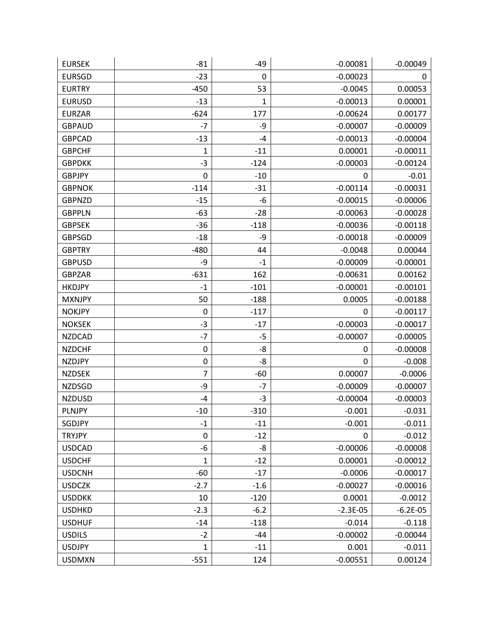| <b>EURSEK</b> | $-81$            | $-49$       | $-0.00081$  | $-0.00049$ |
|---------------|------------------|-------------|-------------|------------|
| <b>EURSGD</b> | $-23$            | $\mathbf 0$ | $-0.00023$  | 0          |
| <b>EURTRY</b> | $-450$           | 53          | $-0.0045$   | 0.00053    |
| <b>EURUSD</b> | $-13$            | 1           | $-0.00013$  | 0.00001    |
| <b>EURZAR</b> | $-624$           | 177         | $-0.00624$  | 0.00177    |
| <b>GBPAUD</b> | $-7$             | -9          | $-0.00007$  | $-0.00009$ |
| <b>GBPCAD</b> | $-13$            | -4          | $-0.00013$  | $-0.00004$ |
| <b>GBPCHF</b> | 1                | $-11$       | 0.00001     | $-0.00011$ |
| <b>GBPDKK</b> | $-3$             | $-124$      | $-0.00003$  | $-0.00124$ |
| <b>GBPJPY</b> | 0                | $-10$       | 0           | $-0.01$    |
| <b>GBPNOK</b> | $-114$           | $-31$       | $-0.00114$  | $-0.00031$ |
| <b>GBPNZD</b> | $-15$            | -6          | $-0.00015$  | $-0.00006$ |
| <b>GBPPLN</b> | $-63$            | $-28$       | $-0.00063$  | $-0.00028$ |
| <b>GBPSEK</b> | $-36$            | $-118$      | $-0.00036$  | $-0.00118$ |
| <b>GBPSGD</b> | $-18$            | -9          | $-0.00018$  | $-0.00009$ |
| <b>GBPTRY</b> | $-480$           | 44          | $-0.0048$   | 0.00044    |
| <b>GBPUSD</b> | -9               | $-1$        | $-0.00009$  | $-0.00001$ |
| <b>GBPZAR</b> | $-631$           | 162         | $-0.00631$  | 0.00162    |
| <b>HKDJPY</b> | $-1$             | $-101$      | $-0.00001$  | $-0.00101$ |
| <b>MXNJPY</b> | 50               | $-188$      | 0.0005      | $-0.00188$ |
| <b>NOKJPY</b> | 0                | $-117$      | 0           | $-0.00117$ |
| <b>NOKSEK</b> | $-3$             | $-17$       | $-0.00003$  | $-0.00017$ |
| <b>NZDCAD</b> | $-7$             | $-5$        | $-0.00007$  | $-0.00005$ |
| <b>NZDCHF</b> | $\boldsymbol{0}$ | -8          | 0           | $-0.00008$ |
| <b>NZDJPY</b> | 0                | -8          | 0           | $-0.008$   |
| <b>NZDSEK</b> | $\overline{7}$   | $-60$       | 0.00007     | $-0.0006$  |
| <b>NZDSGD</b> | -9               | $-7$        | $-0.00009$  | $-0.00007$ |
| <b>NZDUSD</b> | -4               | $-3$        | $-0.00004$  | $-0.00003$ |
| <b>PLNJPY</b> | $-10$            | $-310$      | $-0.001$    | $-0.031$   |
| SGDJPY        | $-1$             | $-11$       | $-0.001$    | $-0.011$   |
| <b>TRYJPY</b> | 0                | $-12$       | $\mathbf 0$ | $-0.012$   |
| <b>USDCAD</b> | -6               | -8          | $-0.00006$  | $-0.00008$ |
| <b>USDCHF</b> | $\mathbf 1$      | $-12$       | 0.00001     | $-0.00012$ |
| <b>USDCNH</b> | $-60$            | $-17$       | $-0.0006$   | $-0.00017$ |
| <b>USDCZK</b> | $-2.7$           | $-1.6$      | $-0.00027$  | $-0.00016$ |
| <b>USDDKK</b> | 10               | $-120$      | 0.0001      | $-0.0012$  |
| <b>USDHKD</b> | $-2.3$           | $-6.2$      | $-2.3E-05$  | $-6.2E-05$ |
| <b>USDHUF</b> | $-14$            | $-118$      | $-0.014$    | $-0.118$   |
| <b>USDILS</b> | $-2$             | -44         | $-0.00002$  | $-0.00044$ |
| <b>USDJPY</b> | $\mathbf{1}$     | $-11$       | 0.001       | $-0.011$   |
| <b>USDMXN</b> | $-551$           | 124         | $-0.00551$  | 0.00124    |